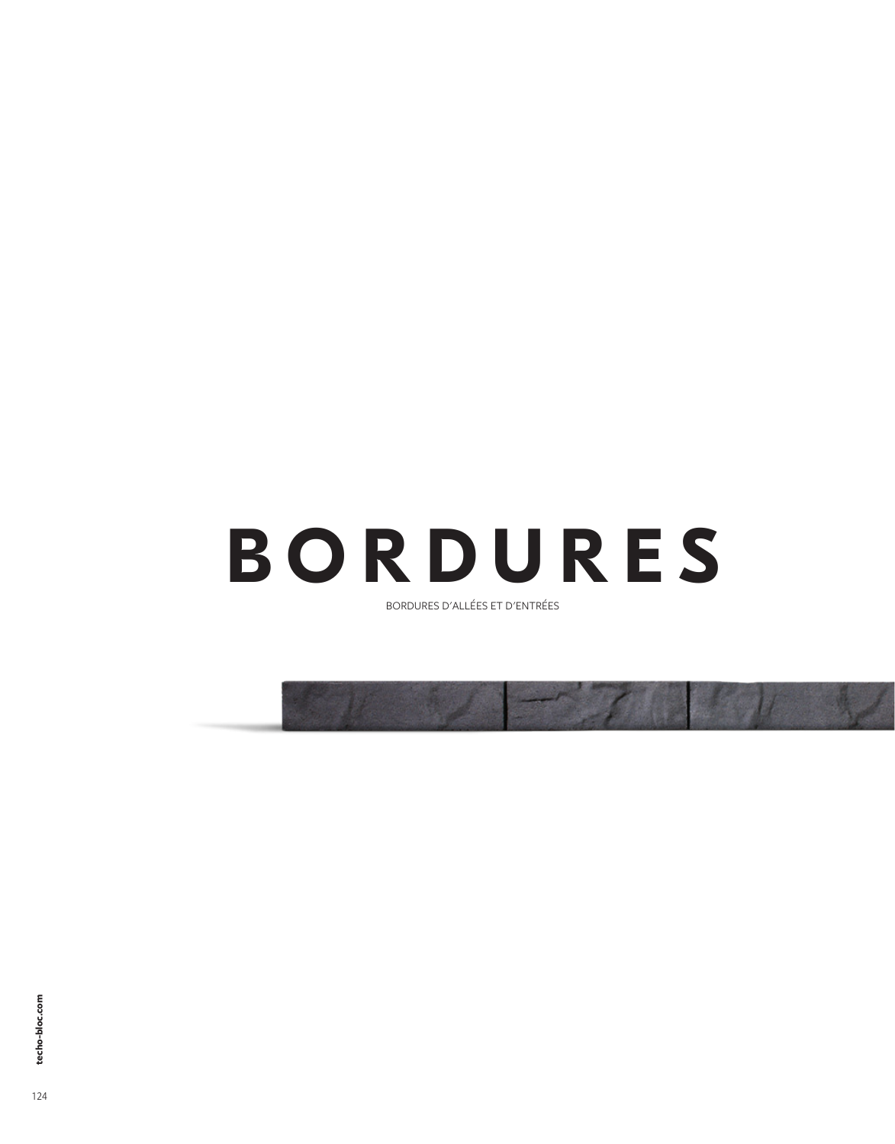# **BORDURES**

BORDURES D'ALLÉES ET D'ENTRÉES

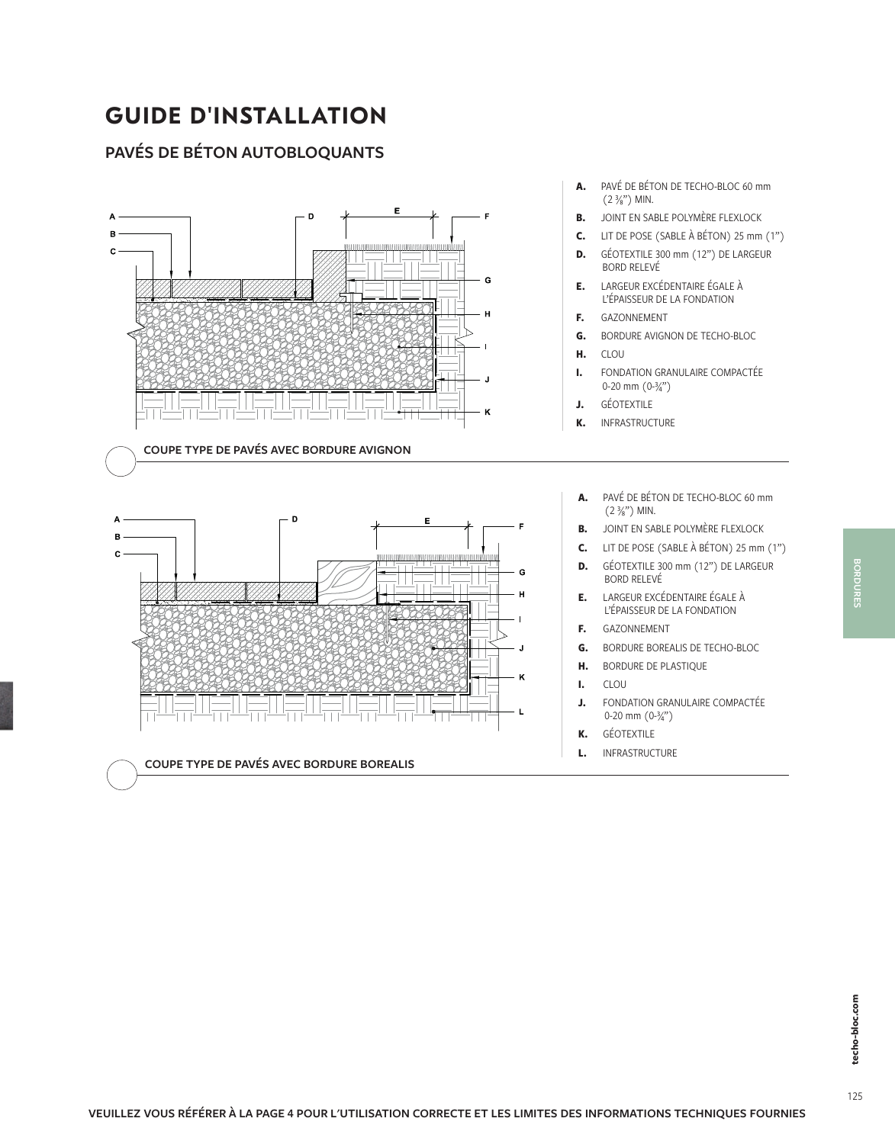## **GUIDE D'INSTALLATION**

#### **PAVÉS DE BÉTON AUTOBLOQUANTS**

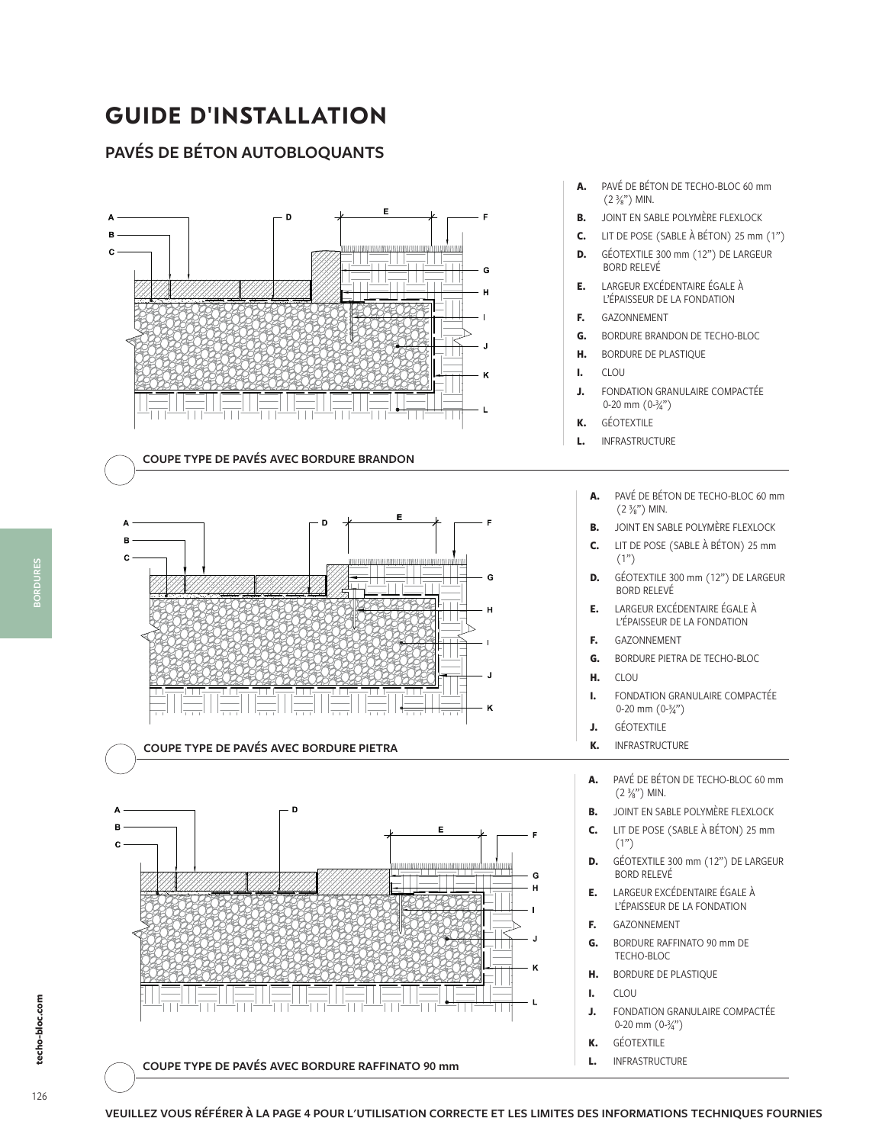# **GUIDE D'INSTALLATION**

#### **PAVÉS DE BÉTON AUTOBLOQUANTS**



- 
- **D.** GÉOTEXTILE 300 mm (12") DE LARGEUR
- **G.** BORDURE BRANDON DE TECHO-BLOC
- - **A.** PAVÉ DE BÉTON DE TECHO-BLOC 60 mm
	- **B.** JOINT EN SABLE POLYMÈRE FLEXLOCK
	- **C.** LIT DE POSE (SABLE À BÉTON) 25 mm
	- **D.** GÉOTEXTILE 300 mm (12") DE LARGEUR
- **E.** LARGEUR EXCÉDENTAIRE ÉGALE À
- **G.** BORDURE PIETRA DE TECHO-BLOC
- **I.** FONDATION GRANULAIRE COMPACTÉE
- **A.** PAVÉ DE BÉTON DE TECHO-BLOC 60 mm
- **B.** JOINT EN SABLE POLYMÈRE FLEXLOCK
- **C.** LIT DE POSE (SABLE À BÉTON) 25 mm
- **D.** GÉOTEXTILE 300 mm (12") DE LARGEUR
- **E.** LARGEUR EXCÉDENTAIRE ÉGALE À
- **J.** FONDATION GRANULAIRE COMPACTÉE